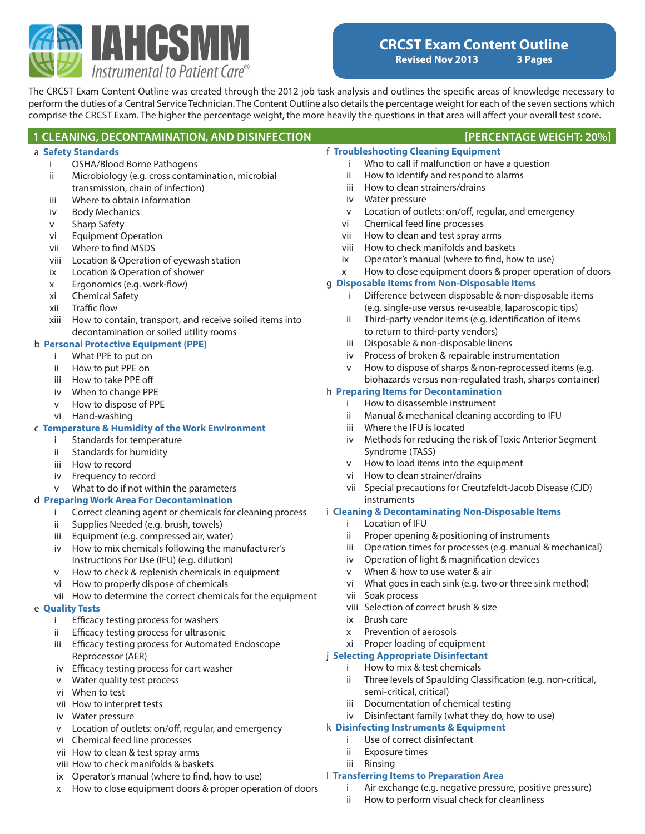

The CRCST Exam Content Outline was created through the 2012 job task analysis and outlines the specific areas of knowledge necessary to perform the duties of a Central Service Technician. The Content Outline also details the percentage weight for each of the seven sections which comprise the CRCST Exam. The higher the percentage weight, the more heavily the questions in that area will affect your overall test score.

a **Safety Standards** i OSHA/Blood Borne Pathogens ii Microbiology (e.g. cross contamination, microbial transmission, chain of infection) iii Where to obtain information iv Body Mechanics v Sharp Safety vi Equipment Operation vii Where to find MSDS viii Location & Operation of eyewash station ix Location & Operation of shower x Ergonomics (e.g. work-flow) xi Chemical Safety xii Traffic flow xiii How to contain, transport, and receive soiled items into decontamination or soiled utility rooms b **Personal Protective Equipment (PPE)** i What PPE to put on ii How to put PPE on iii How to take PPE off iv When to change PPE v How to dispose of PPE vi Hand-washing c **Temperature & Humidity of the Work Environment** i Standards for temperature ii Standards for humidity iii How to record iv Frequency to record v What to do if not within the parameters d **Preparing Work Area For Decontamination** i Correct cleaning agent or chemicals for cleaning process ii Supplies Needed (e.g. brush, towels) iii Equipment (e.g. compressed air, water) iv How to mix chemicals following the manufacturer's Instructions For Use (IFU) (e.g. dilution) v How to check & replenish chemicals in equipment vi How to properly dispose of chemicals vii How to determine the correct chemicals for the equipment e **Quality Tests** i Efficacy testing process for washers ii Efficacy testing process for ultrasonic iii Efficacy testing process for Automated Endoscope Reprocessor (AER) iv Efficacy testing process for cart washer v Water quality test process vi When to test vii How to interpret tests iv Water pressure v Location of outlets: on/off, regular, and emergency vi Chemical feed line processes **1 CLEANING, DECONTAMINATION, AND DISINFECTION [PERCENTAGE WEIGHT: 20%]** f **Troubleshooting Cleaning Equipment** i Who to call if malfunction or have a question ii How to identify and respond to alarms iii How to clean strainers/drains iv Water pressure v Location of outlets: on/off, regular, and emergency vi Chemical feed line processes vii How to clean and test spray arms viii How to check manifolds and baskets ix Operator's manual (where to find, how to use) x How to close equipment doors & proper operation of doors g **Disposable Items from Non-Disposable Items** i Difference between disposable & non-disposable items (e.g. single-use versus re-useable, laparoscopic tips) ii Third-party vendor items (e.g. identification of items to return to third-party vendors) iii Disposable & non-disposable linens iv Process of broken & repairable instrumentation v How to dispose of sharps & non-reprocessed items (e.g. biohazards versus non-regulated trash, sharps container) h **Preparing Items for Decontamination** i How to disassemble instrument ii Manual & mechanical cleaning according to IFU iii Where the IFU is located iv Methods for reducing the risk of Toxic Anterior Segment Syndrome (TASS) v How to load items into the equipment vi How to clean strainer/drains vii Special precautions for Creutzfeldt-Jacob Disease (CJD) instruments i **Cleaning & Decontaminating Non-Disposable Items** i Location of IFU ii Proper opening & positioning of instruments iii Operation times for processes (e.g. manual & mechanical) iv Operation of light & magnification devices v When & how to use water & air vi What goes in each sink (e.g. two or three sink method) vii Soak process viii Selection of correct brush & size ix Brush care x Prevention of aerosols xi Proper loading of equipment j **Selecting Appropriate Disinfectant** i How to mix & test chemicals ii Three levels of Spaulding Classification (e.g. non-critical, semi-critical, critical) iii Documentation of chemical testing iv Disinfectant family (what they do, how to use) k **Disinfecting Instruments & Equipment** i Use of correct disinfectant

- vii How to clean & test spray arms
- viii How to check manifolds & baskets
- ix Operator's manual (where to find, how to use)
- x How to close equipment doors & proper operation of doors
- l **Transferring Items to Preparation Area**
	- i Air exchange (e.g. negative pressure, positive pressure)
	- ii How to perform visual check for cleanliness
- ii Exposure times
- iii Rinsing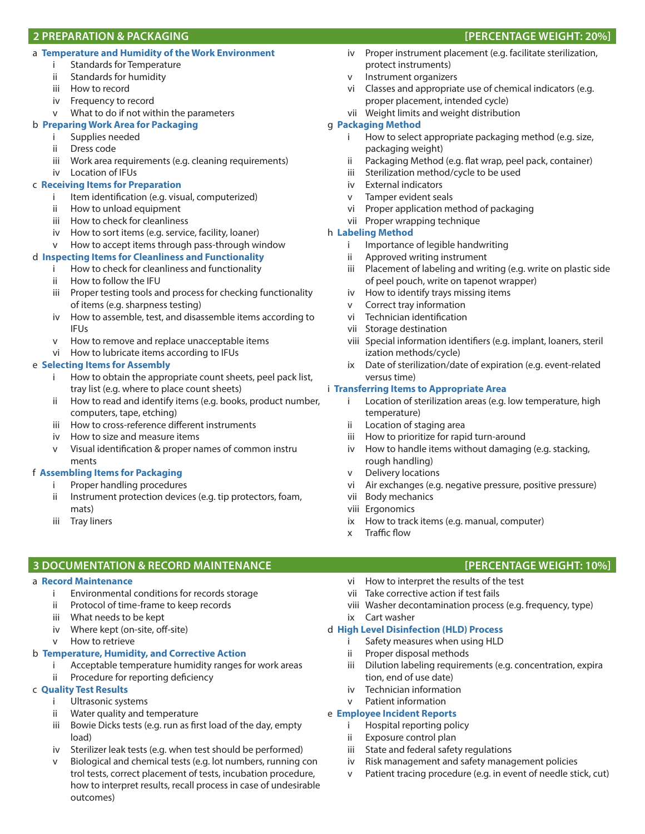## **2 PREPARATION & PACKAGING [PERCENTAGE WEIGHT: 20%]**

## a **Temperature and Humidity of the Work Environment**

- i Standards for Temperature
- ii Standards for humidity
- iii How to record
- iv Frequency to record
- v What to do if not within the parameters

# b **Preparing Work Area for Packaging**

- i Supplies needed
- ii Dress code
- iii Work area requirements (e.g. cleaning requirements)
- iv Location of IFUs

# c **Receiving Items for Preparation**

- i Item identification (e.g. visual, computerized)
- ii How to unload equipment
- iii How to check for cleanliness
- iv How to sort items (e.g. service, facility, loaner)
- v How to accept items through pass-through window

# d **Inspecting Items for Cleanliness and Functionality**

- i How to check for cleanliness and functionality
- ii How to follow the IFU
- iii Proper testing tools and process for checking functionality of items (e.g. sharpness testing)
- iv How to assemble, test, and disassemble items according to IFUs
- v How to remove and replace unacceptable items
- vi How to lubricate items according to IFUs

# e **Selecting Items for Assembly**

- i How to obtain the appropriate count sheets, peel pack list, tray list (e.g. where to place count sheets)
- ii How to read and identify items (e.g. books, product number, computers, tape, etching)
- iii How to cross-reference different instruments
- iv How to size and measure items
- v Visual identification & proper names of common instru ments

# f **Assembling Items for Packaging**

- i Proper handling procedures
- ii Instrument protection devices (e.g. tip protectors, foam, mats)
- iii Tray liners

# **3 DOCUMENTATION & RECORD MAINTENANCE [PERCENTAGE WEIGHT: 10%]**

## a **Record Maintenance**

- i Environmental conditions for records storage
- ii Protocol of time-frame to keep records
- iii What needs to be kept
- iv Where kept (on-site, off-site)
- v How to retrieve

# b **Temperature, Humidity, and Corrective Action**

- i Acceptable temperature humidity ranges for work areas
- ii Procedure for reporting deficiency

# c **Quality Test Results**

- i Ultrasonic systems
- ii Water quality and temperature
- iii Bowie Dicks tests (e.g. run as first load of the day, empty load)
- iv Sterilizer leak tests (e.g. when test should be performed)
- v Biological and chemical tests (e.g. lot numbers, running con trol tests, correct placement of tests, incubation procedure, how to interpret results, recall process in case of undesirable outcomes)
- iv Proper instrument placement (e.g. facilitate sterilization, protect instruments)
- v Instrument organizers
- vi Classes and appropriate use of chemical indicators (e.g. proper placement, intended cycle)
- vii Weight limits and weight distribution

# g **Packaging Method**

- i How to select appropriate packaging method (e.g. size, packaging weight)
- ii Packaging Method (e.g. flat wrap, peel pack, container)
- iii Sterilization method/cycle to be used
- iv External indicators
- v Tamper evident seals
- vi Proper application method of packaging
- vii Proper wrapping technique

# h **Labeling Method**

- i Importance of legible handwriting
- ii Approved writing instrument
- iii Placement of labeling and writing (e.g. write on plastic side of peel pouch, write on tapenot wrapper)
- iv How to identify trays missing items
- v Correct tray information
- vi Technician identification
- vii Storage destination
- viii Special information identifiers (e.g. implant, loaners, steril ization methods/cycle)
- ix Date of sterilization/date of expiration (e.g. event-related versus time)

# i **Transferring Items to Appropriate Area**

- i Location of sterilization areas (e.g. low temperature, high temperature)
- ii Location of staging area
- iii How to prioritize for rapid turn-around
- iv How to handle items without damaging (e.g. stacking, rough handling)
- v Delivery locations
- vi Air exchanges (e.g. negative pressure, positive pressure)
- vii Body mechanics
- viii Ergonomics
- ix How to track items (e.g. manual, computer)
- x Traffic flow

- vi How to interpret the results of the test
- vii Take corrective action if test fails
- viii Washer decontamination process (e.g. frequency, type)
- ix Cart washer

## d **High Level Disinfection (HLD) Process**

- i Safety measures when using HLD
- ii Proper disposal methods
- iii Dilution labeling requirements (e.g. concentration, expira tion, end of use date)
- iv Technician information
- Patient information

# e **Employee Incident Reports**

- i Hospital reporting policy
- ii Exposure control plan
- iii State and federal safety regulations
- iv Risk management and safety management policies v Patient tracing procedure (e.g. in event of needle stick, cut)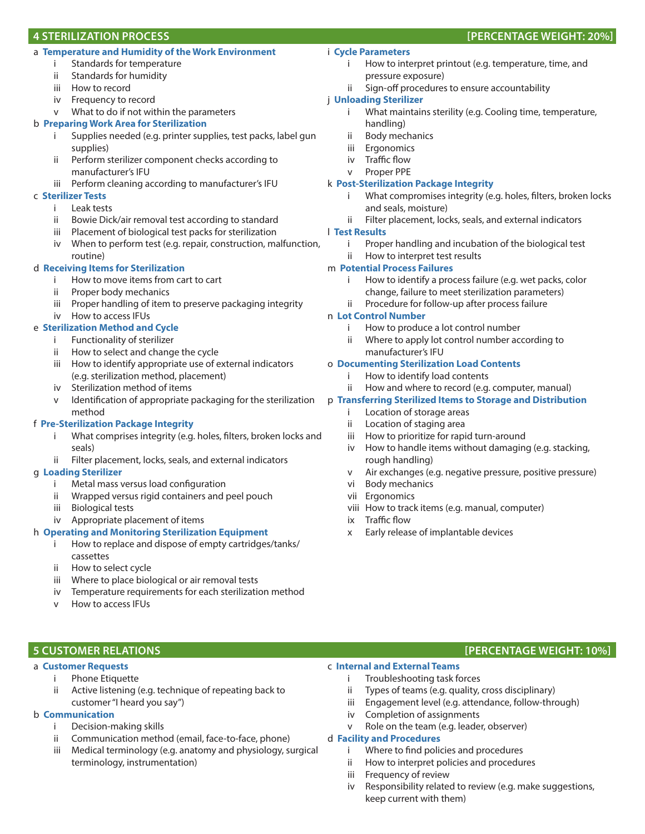### a **Temperature and Humidity of the Work Environment**

- i Standards for temperature
- ii Standards for humidity
- iii How to record
- iv Frequency to record
- v What to do if not within the parameters

#### b **Preparing Work Area for Sterilization**

- i Supplies needed (e.g. printer supplies, test packs, label gun supplies)
- ii Perform sterilizer component checks according to manufacturer's IFU
- iii Perform cleaning according to manufacturer's IFU

#### c **Sterilizer Tests**

- i Leak tests
- ii Bowie Dick/air removal test according to standard
- iii Placement of biological test packs for sterilization
- iv When to perform test (e.g. repair, construction, malfunction, routine)

#### d **Receiving Items for Sterilization**

- i How to move items from cart to cart
- ii Proper body mechanics
- iii Proper handling of item to preserve packaging integrity iv How to access IFUs

#### e **Sterilization Method and Cycle**

- i Functionality of sterilizer
- ii How to select and change the cycle
- iii How to identify appropriate use of external indicators (e.g. sterilization method, placement)
- iv Sterilization method of items
- Identification of appropriate packaging for the sterilization method

#### f **Pre-Sterilization Package Integrity**

- i What comprises integrity (e.g. holes, filters, broken locks and seals)
- ii Filter placement, locks, seals, and external indicators

### g **Loading Sterilizer**

- i Metal mass versus load configuration
- ii Wrapped versus rigid containers and peel pouch
- iii Biological tests
- iv Appropriate placement of items

#### h **Operating and Monitoring Sterilization Equipment**

- i How to replace and dispose of empty cartridges/tanks/ cassettes
- ii How to select cycle
- iii Where to place biological or air removal tests
- iv Temperature requirements for each sterilization method
- v How to access IFUs

#### a **Customer Requests**

- i Phone Etiquette
- ii Active listening (e.g. technique of repeating back to customer "I heard you say")

#### b **Communication**

- i Decision-making skills
- ii Communication method (email, face-to-face, phone)
- iii Medical terminology (e.g. anatomy and physiology, surgical terminology, instrumentation)

# i **Cycle Parameters**

- i How to interpret printout (e.g. temperature, time, and pressure exposure)
- ii Sign-off procedures to ensure accountability

## j **Unloading Sterilizer**

- i What maintains sterility (e.g. Cooling time, temperature, handling)
- ii Body mechanics
- iii Ergonomics
- iv Traffic flow
- v Proper PPE

#### k **Post-Sterilization Package Integrity**

- i What compromises integrity (e.g. holes, filters, broken locks and seals, moisture)
- ii Filter placement, locks, seals, and external indicators

### l **Test Results**

- i Proper handling and incubation of the biological test
- ii How to interpret test results

### m **Potential Process Failures**

- How to identify a process failure (e.g. wet packs, color change, failure to meet sterilization parameters)
- ii Procedure for follow-up after process failure

#### n **Lot Control Number**

- i How to produce a lot control number
- ii Where to apply lot control number according to manufacturer's IFU

#### o **Documenting Sterilization Load Contents**

- i How to identify load contents
- ii How and where to record (e.g. computer, manual)

#### p **Transferring Sterilized Items to Storage and Distribution**

#### i Location of storage areas

- ii Location of staging area
- iii How to prioritize for rapid turn-around
- iv How to handle items without damaging (e.g. stacking, rough handling)
- v Air exchanges (e.g. negative pressure, positive pressure)
- vi Body mechanics
- vii Ergonomics
- viii How to track items (e.g. manual, computer)
- ix Traffic flow
- x Early release of implantable devices

# **5 CUSTOMER RELATIONS [PERCENTAGE WEIGHT: 10%]**

## c **Internal and External Teams**

- i Troubleshooting task forces
- ii Types of teams (e.g. quality, cross disciplinary)
- iii Engagement level (e.g. attendance, follow-through)
- iv Completion of assignments
- v Role on the team (e.g. leader, observer)

#### d **Facility and Procedures**

- i Where to find policies and procedures
- ii How to interpret policies and procedures
- iii Frequency of review
- iv Responsibility related to review (e.g. make suggestions, keep current with them)

#### **4 STERILIZATION PROCESS [PERCENTAGE WEIGHT: 20%]**